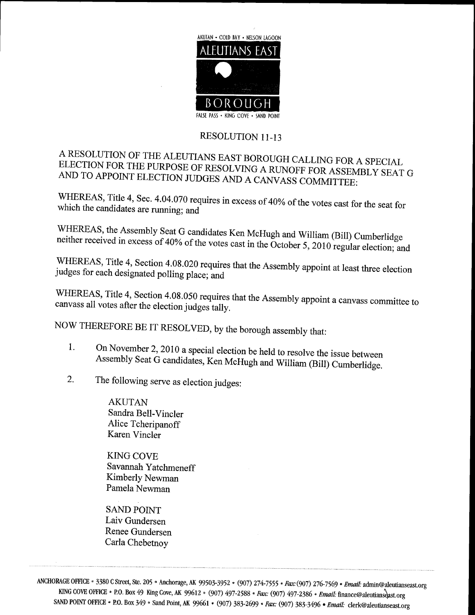

## **RESOLUTION 11-13**

## A RESOLUTION OF THE ALEUTIANS EAST BOROUGH CALLING FOR A SPECIAL<br>ELECTION FOR THE PURPOSE OF RESOLURIS (1955-50) ELECTION FOR THE PURPOSE OF RESOLVING A RUNOFF FOR ASSEMBLY SEAT G<br>AND TO APPOINT ELECTION JUDGES AND A CANVASS COMMITTEE: AND TO APPOINT ELECTION JUDGES AND A CANVASS COMMITTEE:

WHEREAS, Title 4, Sec. 4.04.070 requires in excess of 40% of the votes cast for the seat for which the candidates are running: and

WHEREAS, the Assembly Seat WHEREAS, the Assembly Seat G candidates Ken McHugh and William (Bill) Cumberlidge<br>neither received in excess of 40% of the votes cast in the October 5, 2010 regular election; and<br>WHEREAS, Title 4, Section 4.08.020 requires

WHEREAS, Title 4, Section 4.08.020 requires that the Assembly appoint at least three election judges for each designated polling place; and<br>WHEREAS, Title 4, Section 4.08.050 requires that the Assembly appoint a canvass co

NOW THEREFORE BE IT RESOLVED, by the borough assembly that:

- 1. On November 2, 2010 a special election be held to resolve the issue between Assembly Seat G candidates, Ken McHugh and William (Bill) Cumberlidge.
- 2. The following serve as election judges:

AKUTAN Sandra Bell-Vincler Alice Tcheripanoff Karen Vincler

KING COVE Savannah Yatchmeneff Kimberly Newman Pamela Newman

SAND POINT Laiv Gundersen Renee Gundersen Carla Chebetnoy

ANCHORAGE OFFICE \* 3380 C Street, Ste. 205 \* Anchorage, AK 99503-3952 \* (907) 274-7555 \* Fax: (907) 276-7569 \* Email KING COVE OFFICE • P.O. Box 49 King Cove, AK 99612 • (907) 497-2588 • Fax: (907) 497-2386 • Email: admin@aleutianseast.org<br>finance@aleutianseast.org<br>*id:* clerk@aleutianseast.org SAND POINT OFFICE • P.O. Box 349 • Sand Point, AK 99661 • (907) 383-2699 • Fax: - *Fax*: (907) 276-7569 - *Email*: admin@aleutianse<br>7) 497-2386 - *Email:* finance@aleutianseast.org<br>(907) 383-3496 - *Email:* clerk@aleutianseast.org